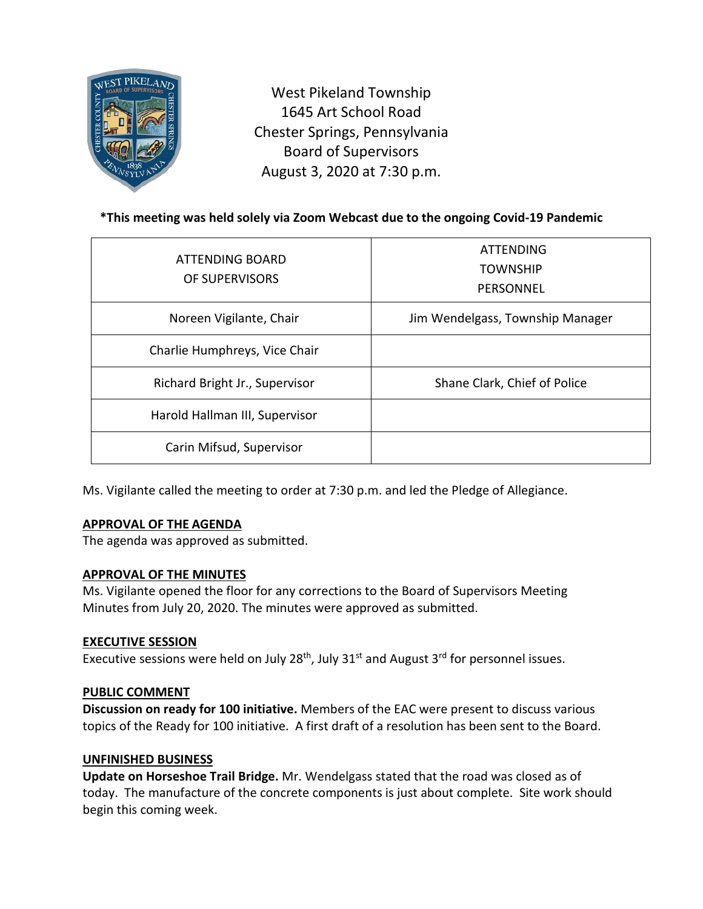

West Pikeland Township 1645 Art School Road Chester Springs, Pennsylvania Board of Supervisors August 3, 2020 at 7:30 p.m.

# **\*This meeting was held solely via Zoom Webcast due to the ongoing Covid-19 Pandemic**

| ATTENDING BOARD<br>OF SUPERVISORS | <b>ATTENDING</b><br><b>TOWNSHIP</b><br>PERSONNEL |
|-----------------------------------|--------------------------------------------------|
| Noreen Vigilante, Chair           | Jim Wendelgass, Township Manager                 |
| Charlie Humphreys, Vice Chair     |                                                  |
| Richard Bright Jr., Supervisor    | Shane Clark, Chief of Police                     |
| Harold Hallman III, Supervisor    |                                                  |
| Carin Mifsud, Supervisor          |                                                  |

Ms. Vigilante called the meeting to order at 7:30 p.m. and led the Pledge of Allegiance.

# **APPROVAL OF THE AGENDA**

The agenda was approved as submitted.

# **APPROVAL OF THE MINUTES**

Ms. Vigilante opened the floor for any corrections to the Board of Supervisors Meeting Minutes from July 20, 2020. The minutes were approved as submitted.

#### **EXECUTIVE SESSION**

Executive sessions were held on July 28<sup>th</sup>, July 31<sup>st</sup> and August 3<sup>rd</sup> for personnel issues.

# **PUBLIC COMMENT**

**Discussion on ready for 100 initiative.** Members of the EAC were present to discuss various topics of the Ready for 100 initiative. A first draft of a resolution has been sent to the Board.

# **UNFINISHED BUSINESS**

**Update on Horseshoe Trail Bridge.** Mr. Wendelgass stated that the road was closed as of today. The manufacture of the concrete components is just about complete. Site work should begin this coming week.